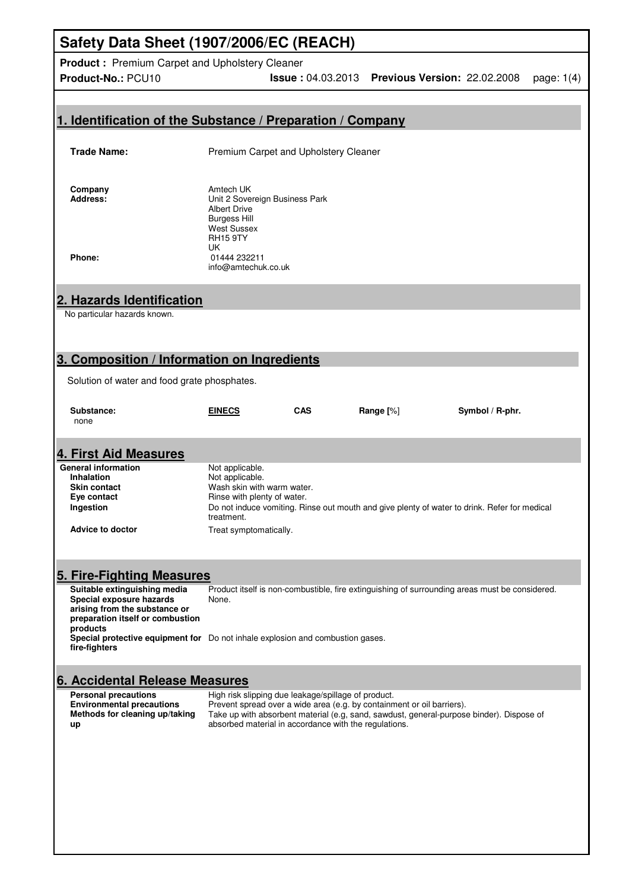| Safety Data Sheet (1907/2006/EC (REACH)                                                         |                                                                                                                                                                    |            |           |                                                                                                |              |
|-------------------------------------------------------------------------------------------------|--------------------------------------------------------------------------------------------------------------------------------------------------------------------|------------|-----------|------------------------------------------------------------------------------------------------|--------------|
| <b>Product:</b> Premium Carpet and Upholstery Cleaner                                           |                                                                                                                                                                    |            |           |                                                                                                |              |
| Product-No.: PCU10                                                                              |                                                                                                                                                                    |            |           | <b>Issue: 04.03.2013 Previous Version: 22.02.2008</b>                                          | page: $1(4)$ |
|                                                                                                 |                                                                                                                                                                    |            |           |                                                                                                |              |
|                                                                                                 |                                                                                                                                                                    |            |           |                                                                                                |              |
| 1. Identification of the Substance / Preparation / Company                                      |                                                                                                                                                                    |            |           |                                                                                                |              |
|                                                                                                 |                                                                                                                                                                    |            |           |                                                                                                |              |
| <b>Trade Name:</b>                                                                              | Premium Carpet and Upholstery Cleaner                                                                                                                              |            |           |                                                                                                |              |
|                                                                                                 |                                                                                                                                                                    |            |           |                                                                                                |              |
| Company                                                                                         | Amtech UK                                                                                                                                                          |            |           |                                                                                                |              |
| <b>Address:</b>                                                                                 | Unit 2 Sovereign Business Park<br><b>Albert Drive</b>                                                                                                              |            |           |                                                                                                |              |
|                                                                                                 | <b>Burgess Hill</b>                                                                                                                                                |            |           |                                                                                                |              |
|                                                                                                 | <b>West Sussex</b><br><b>RH15 9TY</b>                                                                                                                              |            |           |                                                                                                |              |
|                                                                                                 | UK                                                                                                                                                                 |            |           |                                                                                                |              |
| Phone:                                                                                          | 01444 232211<br>info@amtechuk.co.uk                                                                                                                                |            |           |                                                                                                |              |
|                                                                                                 |                                                                                                                                                                    |            |           |                                                                                                |              |
| 2. Hazards Identification                                                                       |                                                                                                                                                                    |            |           |                                                                                                |              |
| No particular hazards known.                                                                    |                                                                                                                                                                    |            |           |                                                                                                |              |
|                                                                                                 |                                                                                                                                                                    |            |           |                                                                                                |              |
|                                                                                                 |                                                                                                                                                                    |            |           |                                                                                                |              |
| 3. Composition / Information on Ingredients                                                     |                                                                                                                                                                    |            |           |                                                                                                |              |
| Solution of water and food grate phosphates.                                                    |                                                                                                                                                                    |            |           |                                                                                                |              |
|                                                                                                 |                                                                                                                                                                    |            |           |                                                                                                |              |
| Substance:                                                                                      | <b>EINECS</b>                                                                                                                                                      | <b>CAS</b> | Range [%] | Symbol / R-phr.                                                                                |              |
| none                                                                                            |                                                                                                                                                                    |            |           |                                                                                                |              |
|                                                                                                 |                                                                                                                                                                    |            |           |                                                                                                |              |
| <b>4. First Aid Measures</b>                                                                    |                                                                                                                                                                    |            |           |                                                                                                |              |
| <b>General information</b><br><b>Inhalation</b>                                                 | Not applicable.<br>Not applicable.                                                                                                                                 |            |           |                                                                                                |              |
| <b>Skin contact</b>                                                                             | Wash skin with warm water.                                                                                                                                         |            |           |                                                                                                |              |
| Eye contact<br>Ingestion                                                                        | Rinse with plenty of water.                                                                                                                                        |            |           | Do not induce vomiting. Rinse out mouth and give plenty of water to drink. Refer for medical   |              |
|                                                                                                 | treatment.                                                                                                                                                         |            |           |                                                                                                |              |
| <b>Advice to doctor</b>                                                                         | Treat symptomatically.                                                                                                                                             |            |           |                                                                                                |              |
|                                                                                                 |                                                                                                                                                                    |            |           |                                                                                                |              |
|                                                                                                 |                                                                                                                                                                    |            |           |                                                                                                |              |
| 5. Fire-Fighting Measures                                                                       |                                                                                                                                                                    |            |           |                                                                                                |              |
| Suitable extinguishing media<br>Special exposure hazards                                        | None.                                                                                                                                                              |            |           | Product itself is non-combustible, fire extinguishing of surrounding areas must be considered. |              |
| arising from the substance or<br>preparation itself or combustion                               |                                                                                                                                                                    |            |           |                                                                                                |              |
| products                                                                                        |                                                                                                                                                                    |            |           |                                                                                                |              |
| Special protective equipment for Do not inhale explosion and combustion gases.<br>fire-fighters |                                                                                                                                                                    |            |           |                                                                                                |              |
|                                                                                                 |                                                                                                                                                                    |            |           |                                                                                                |              |
| <b>6. Accidental Release Measures</b>                                                           |                                                                                                                                                                    |            |           |                                                                                                |              |
| <b>Personal precautions</b>                                                                     | High risk slipping due leakage/spillage of product.                                                                                                                |            |           |                                                                                                |              |
| <b>Environmental precautions</b><br>Methods for cleaning up/taking                              | Prevent spread over a wide area (e.g. by containment or oil barriers).<br>Take up with absorbent material (e.g, sand, sawdust, general-purpose binder). Dispose of |            |           |                                                                                                |              |
| up                                                                                              | absorbed material in accordance with the regulations.                                                                                                              |            |           |                                                                                                |              |
|                                                                                                 |                                                                                                                                                                    |            |           |                                                                                                |              |
|                                                                                                 |                                                                                                                                                                    |            |           |                                                                                                |              |
|                                                                                                 |                                                                                                                                                                    |            |           |                                                                                                |              |
|                                                                                                 |                                                                                                                                                                    |            |           |                                                                                                |              |
|                                                                                                 |                                                                                                                                                                    |            |           |                                                                                                |              |
|                                                                                                 |                                                                                                                                                                    |            |           |                                                                                                |              |
|                                                                                                 |                                                                                                                                                                    |            |           |                                                                                                |              |
|                                                                                                 |                                                                                                                                                                    |            |           |                                                                                                |              |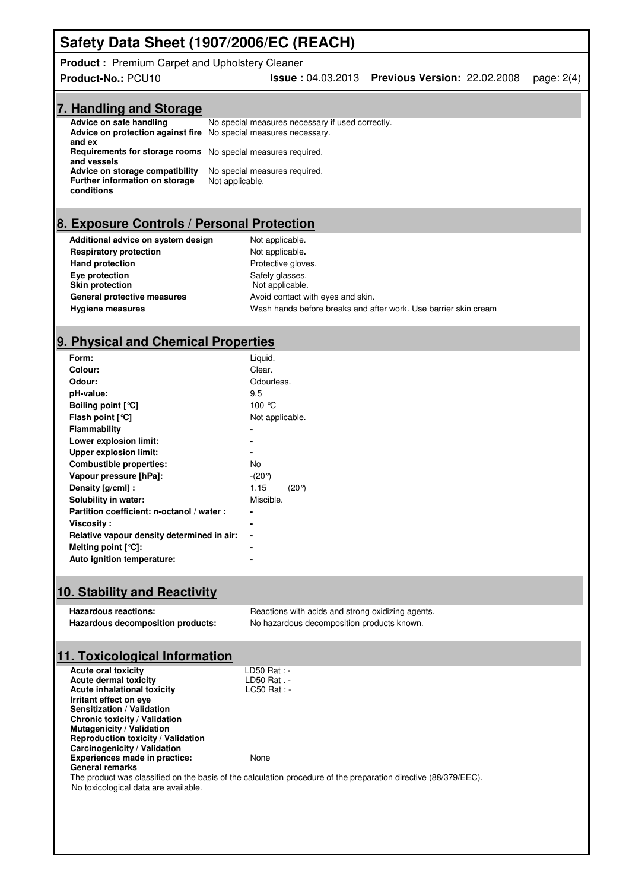# **Safety Data Sheet (1907/2006/EC (REACH)**

#### **Product :** Premium Carpet and Upholstery Cleaner

#### **Product-No.:** PCU10 **Issue :** 04.03.2013 **Previous Version:** 22.02.2008 page: 2(4)

#### **7. Handling and Storage**

| Advice on safe handling<br><b>Advice on protection against fire</b> No special measures necessary.<br>and ex | No special measures necessary if used correctly. |
|--------------------------------------------------------------------------------------------------------------|--------------------------------------------------|
| <b>Requirements for storage rooms</b> No special measures required.<br>and vessels                           |                                                  |
| Advice on storage compatibility<br><b>Further information on storage</b><br>conditions                       | No special measures required.<br>Not applicable. |

### **8. Exposure Controls / Personal Protection**

| Additional advice on system design       | Not applicable.                                                 |
|------------------------------------------|-----------------------------------------------------------------|
| <b>Respiratory protection</b>            | Not applicable.                                                 |
| <b>Hand protection</b>                   | Protective gloves.                                              |
| Eye protection<br><b>Skin protection</b> | Safely glasses.<br>Not applicable.                              |
| General protective measures              | Avoid contact with eyes and skin.                               |
| <b>Hygiene measures</b>                  | Wash hands before breaks and after work. Use barrier skin cream |

### **9. Physical and Chemical Properties**

| Form:                                      | Liquid.         |
|--------------------------------------------|-----------------|
| Colour:                                    | Clear.          |
| Odour:                                     | Odourless.      |
| pH-value:                                  | 9.5             |
| Boiling point $[^{\circ}C]$                | 100 °C          |
| Flash point [°C]                           | Not applicable. |
| Flammability                               |                 |
| Lower explosion limit:                     |                 |
| Upper explosion limit:                     |                 |
| <b>Combustible properties:</b>             | No.             |
| Vapour pressure [hPa]:                     | $-(20^{\circ})$ |
| Density [g/cml] :                          | 1.15<br>(20°)   |
| Solubility in water:                       | Miscible.       |
| Partition coefficient: n-octanol / water : |                 |
| <b>Viscosity :</b>                         |                 |
| Relative vapour density determined in air: |                 |
| Melting point $\lceil$ °C]:                |                 |
| Auto ignition temperature:                 |                 |

## **10. Stability and Reactivity**

Hazardous reactions: **Reactions:** Reactions with acids and strong oxidizing agents.  **Hazardous decomposition products:** No hazardous decomposition products known.

#### **11. Toxicological Information**

| Acute oral toxicity                       | LD50 Rat : -                                                                                                    |
|-------------------------------------------|-----------------------------------------------------------------------------------------------------------------|
| Acute dermal toxicity                     | LD50 Rat . -                                                                                                    |
| Acute inhalational toxicity               | $LC50$ Rat : -                                                                                                  |
| Irritant effect on eye                    |                                                                                                                 |
| <b>Sensitization / Validation</b>         |                                                                                                                 |
| <b>Chronic toxicity / Validation</b>      |                                                                                                                 |
| <b>Mutagenicity / Validation</b>          |                                                                                                                 |
| <b>Reproduction toxicity / Validation</b> |                                                                                                                 |
| Carcinogenicity / Validation              |                                                                                                                 |
| Experiences made in practice:             | None                                                                                                            |
| General remarks                           |                                                                                                                 |
|                                           | The product was classified on the basis of the calculation procedure of the preparation directive (88/379/EEC). |
| No toxicological data are available.      |                                                                                                                 |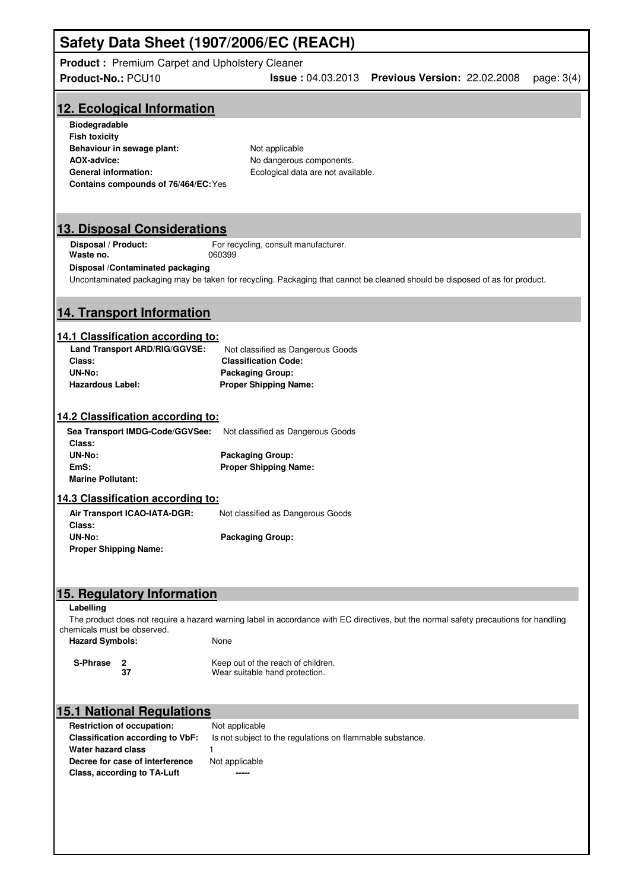# **Safety Data Sheet (1907/2006/EC (REACH)**

**Product :** Premium Carpet and Upholstery Cleaner

| Product-No.: PCU10                                                    | <b>Issue: 04.03.2013 Previous Version: 22.02.2008</b><br>page: $3(4)$                                                                |
|-----------------------------------------------------------------------|--------------------------------------------------------------------------------------------------------------------------------------|
| 12. Ecological Information                                            |                                                                                                                                      |
| <b>Biodegradable</b>                                                  |                                                                                                                                      |
| <b>Fish toxicity</b>                                                  |                                                                                                                                      |
| Behaviour in sewage plant:                                            | Not applicable                                                                                                                       |
| AOX-advice:                                                           | No dangerous components.                                                                                                             |
| <b>General information:</b><br>Contains compounds of 76/464/EC: Yes   | Ecological data are not available.                                                                                                   |
|                                                                       |                                                                                                                                      |
|                                                                       |                                                                                                                                      |
| <b>13. Disposal Considerations</b>                                    |                                                                                                                                      |
| Disposal / Product:<br>Waste no.                                      | For recycling, consult manufacturer.<br>060399                                                                                       |
| Disposal /Contaminated packaging                                      |                                                                                                                                      |
|                                                                       | Uncontaminated packaging may be taken for recycling. Packaging that cannot be cleaned should be disposed of as for product.          |
| <b>14. Transport Information</b>                                      |                                                                                                                                      |
|                                                                       |                                                                                                                                      |
| 14.1 Classification according to:                                     |                                                                                                                                      |
| Land Transport ARD/RIG/GGVSE:                                         | Not classified as Dangerous Goods                                                                                                    |
| Class:<br>UN-No:                                                      | <b>Classification Code:</b><br><b>Packaging Group:</b>                                                                               |
| <b>Hazardous Label:</b>                                               | <b>Proper Shipping Name:</b>                                                                                                         |
|                                                                       |                                                                                                                                      |
| 14.2 Classification according to:                                     |                                                                                                                                      |
| Sea Transport IMDG-Code/GGVSee:                                       | Not classified as Dangerous Goods                                                                                                    |
| Class:                                                                |                                                                                                                                      |
| UN-No:                                                                | <b>Packaging Group:</b>                                                                                                              |
| EmS:                                                                  | <b>Proper Shipping Name:</b>                                                                                                         |
| <b>Marine Pollutant:</b>                                              |                                                                                                                                      |
| 14.3 Classification according to:                                     |                                                                                                                                      |
| Air Transport ICAO-IATA-DGR:<br>Class:                                | Not classified as Dangerous Goods                                                                                                    |
| UN-No:                                                                | <b>Packaging Group:</b>                                                                                                              |
| <b>Proper Shipping Name:</b>                                          |                                                                                                                                      |
|                                                                       |                                                                                                                                      |
|                                                                       |                                                                                                                                      |
| 15. Regulatory Information                                            |                                                                                                                                      |
| Labelling                                                             | The product does not require a hazard warning label in accordance with EC directives, but the normal safety precautions for handling |
| chemicals must be observed.                                           |                                                                                                                                      |
| <b>Hazard Symbols:</b>                                                | None                                                                                                                                 |
| S-Phrase<br>2                                                         | Keep out of the reach of children.                                                                                                   |
| 37                                                                    | Wear suitable hand protection.                                                                                                       |
|                                                                       |                                                                                                                                      |
| <b>15.1 National Regulations</b>                                      |                                                                                                                                      |
| <b>Restriction of occupation:</b>                                     | Not applicable                                                                                                                       |
| <b>Classification according to VbF:</b>                               | Is not subject to the regulations on flammable substance.                                                                            |
| <b>Water hazard class</b>                                             | 1                                                                                                                                    |
| Decree for case of interference<br><b>Class, according to TA-Luft</b> | Not applicable                                                                                                                       |
|                                                                       |                                                                                                                                      |
|                                                                       |                                                                                                                                      |
|                                                                       |                                                                                                                                      |
|                                                                       |                                                                                                                                      |